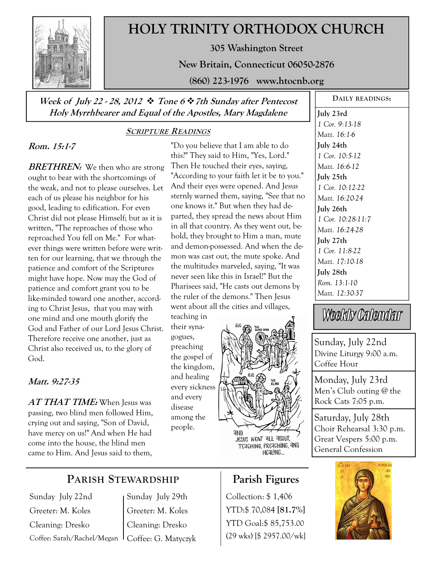

# **HOLY TRINITY ORTHODOX CHURCH**

**305 Washington Street** 

**New Britain, Connecticut 06050-2876** 

**(860) 223-1976 www.htocnb.org** 

## **Week of July 22 - 28, 2012 Tone 6 7th Sunday after Pentecost Holy Myrrhbearer and Equal of the Apostles, Mary Magdalene**

### **SCRIPTURE READINGS**

# **Rom. 15:1-7**

**BRETHREN:** We then who are strong ought to bear with the shortcomings of the weak, and not to please ourselves. Let each of us please his neighbor for his good, leading to edification. For even Christ did not please Himself; but as it is written, "The reproaches of those who reproached You fell on Me." For whatever things were written before were written for our learning, that we through the patience and comfort of the Scriptures might have hope. Now may the God of patience and comfort grant you to be like-minded toward one another, according to Christ Jesus, that you may with one mind and one mouth glorify the God and Father of our Lord Jesus Christ. Therefore receive one another, just as Christ also received us, to the glory of God.

### **Matt. 9:27-35**

**AT THAT TIME:** When Jesus was passing, two blind men followed Him, crying out and saying, "Son of David, have mercy on us!" And when He had come into the house, the blind men came to Him. And Jesus said to them,

### "Do you believe that I am able to do this?" They said to Him, "Yes, Lord." Then He touched their eyes, saying, "According to your faith let it be to you." And their eyes were opened. And Jesus sternly warned them, saying, "See that no one knows it." But when they had departed, they spread the news about Him in all that country. As they went out, behold, they brought to Him a man, mute and demon-possessed. And when the demon was cast out, the mute spoke. And the multitudes marveled, saying, "It was never seen like this in Israel!" But the Pharisees said, "He casts out demons by the ruler of the demons." Then Jesus went about all the cities and villages,

teaching in their synagogues, preaching the gospel of the kingdom, and healing every sickness and every disease among the people.



**July 23rd**  *1 Cor. 9:13-18 Matt. 16:1-6*  **July 24th**  *1 Cor. 10:5-12 Matt. 16:6-12*  **July 25th**  *1 Cor. 10:12-22 Matt. 16:20-24*  **July 26th**  *1 Cor. 10:28-11:7 Matt. 16:24-28*  **July 27th**  *1 Cor. 11:8-22 Matt. 17:10-18*  **July 28th** 

**DAILY READINGS:** 

*Rom. 13:1-10 Matt. 12:30-37* 

Weekly Calendar

Sunday, July 22nd Divine Liturgy 9:00 a.m. Coffee Hour

Monday, July 23rd Men's Club outing @ the Rock Cats 7:05 p.m.

Saturday, July 28th Choir Rehearsal 3:30 p.m. Great Vespers 5:00 p.m. General Confession



# **PARISH STEWARDSHIP**

Sunday July 22nd Greeter: M. Koles Cleaning: Dresko Coffee: Sarah/Rachel/Megan

Sunday July 29th Greeter: M. Koles Cleaning: Dresko Coffee: G. Matyczyk

# **Parish Figures**

Collection: \$ 1,406 YTD:\$ 70,084 **[81.7%]** YTD Goal:\$ 85,753.00 (29 wks) [\$ 2957.00/wk]